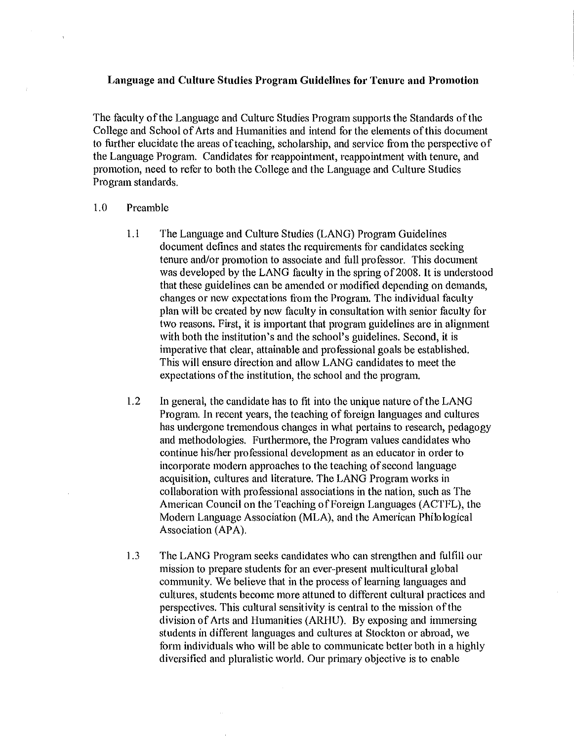## **Language and Cultm·e Studies Program Guidelines for Tenure and Promotion**

The faculty of the Language and Culture Studies Program supports the Standards of the College and School of Arts and Humanities and intend for the elements of this document to further elucidate the areas of teaching, scholarship, and service from the perspective of the Language Program. Candidates for reappointment, reappointment with tenure, and promotion, need to refer to both the College and the Language and Culture Studies Program standards.

## 1.0 Preamble

 $\overline{1}$ 

- 1.1 The Language and Culture Studies (LANG) Program Guidelines document defines and states the requirements for candidates seeking tenure and/or promotion to associate and full professor. This document was developed by the LANG faculty in the spring of 2008. It is understood that these guidelines can be amended or modified depending on demands, changes or new expectations from the Program. The individual faculty plan will be created by new faculty in consultation with senior faculty for two reasons. First, it is important that program guidelines are in alignment with both the institution's and the school's guidelines. Second, it is imperative that clear, attainable and professional goals be established. This will ensure direction and allow LANG candidates to meet the expectations of the institution, the school and the program.
- 1.2 In general, the candidate has to fit into the unique nature of the LANG Program. In recent years, the teaching of foreign languages and cultures has undergone tremendous changes in what pertains to research, pedagogy and methodologies. Furthermore, the Program values candidates who continue his/her professional development as an educator in order to incorporate modern approaches to the teaching of second language acquisition, cultures and literature. The LANG Program works in collaboration with professional associations in the nation, such as The American Council on the Teaching of Foreign Languages (ACTFL), the Modem Language Association (MLA), and the American Philo logical Association (APA).
- 1.3 The LANG Program seeks candidates who can strengthen and fulfill our mission to prepare students for an ever-present multicultural global community. We believe that in the process of learning languages and cultures, students become more attuned to different cultural practices and perspectives. This cultural sensitivity is central to the mission of the division of Arts and Humanities (ARHU). By exposing and immersing students in different languages and cultures at Stockton or abroad, we form individuals who will be able to communicate better both in a highly diversified and pluralistic world. Our primary objective is to enable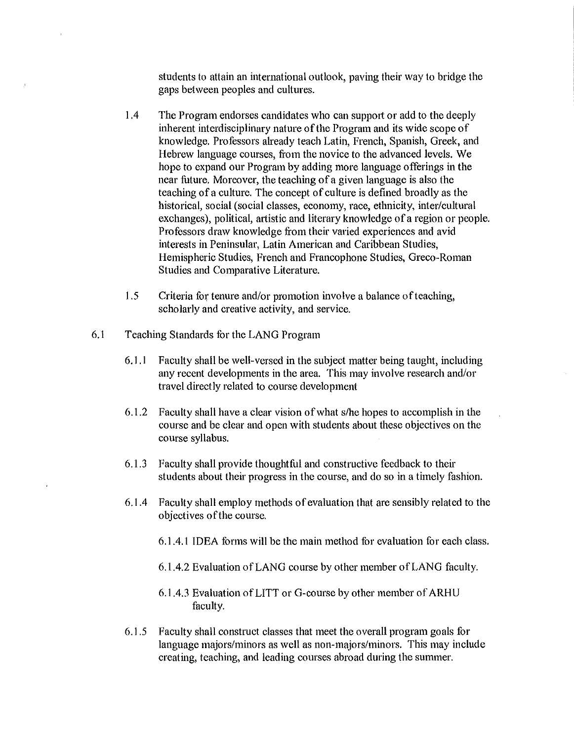students to attain an international outlook, paving their way to bridge the gaps between peoples and cultures.

- 1.4 The Program endorses candidates who can suppott or add to the deeply inherent interdisciplinary nature of the Program and its wide scope of knowledge. Professors already teach Latin, French, Spanish, Greek, and Hebrew language courses, from the novice to the advanced levels. We hope to expand our Program by adding more language offerings in the near future. Moreover, the teaching of a given language is also the teaching of a culture. The concept of culture is defined broadly as the historical, social (social classes, economy, race, ethnicity, inter/cultural exchanges), political, artistic and literary knowledge of a region or people. Professors draw knowledge from their varied experiences and avid interests in Peninsular, Latin American and Caribbean Studies, Hemispheric Studies, French and Francophone Studies, Greco-Roman Studies and Comparative Literature.
- 1.5 Criteria for tenure and/or promotion involve a balance of teaching, scholarly and creative activity, and service.
- 6.1 Teaching Standards for the LANG Program
	- 6.1.1 Faculty shall be well-versed in the subject matter being taught, including any recent developments in the area. This may involve research and/or travel directly related to course development
	- 6.1.2 Faculty shall have a clear vision of what s/he hopes to accomplish in the course and be clear and open with students about these objectives on the course syllabus.
	- 6.1.3 Faculty shall provide thoughtful and constructive feedback to their students about their progress in the course, and do so in a timely fashion.
	- 6.1.4 Faculty shall employ methods of evaluation that are sensibly related to the objectives of the course.
		- 6.1.4.1 IDEA forms will be the main method for evaluation for each class.
		- 6.1.4.2 Evaluation of LANG course by other member of LANG faculty.
		- 6.1.4.3 Evaluation of LITT or G-course by other member of ARHU faculty.
	- 6.1.5 Faculty shall construct classes that meet the overall program goals for language majors/minors as well as non-majors/minors. This may include creating, teaching, and leading courses abroad during the summer.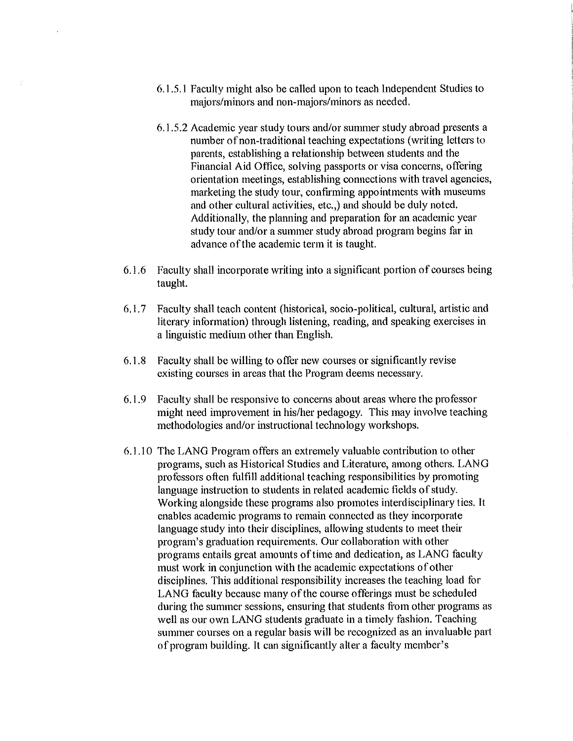- 6.1.5.1 Faculty might also be called upon to teach Independent Studies to majors/minors and non-majors/minors as needed.
- 6.1.5.2 Academic year study tours and/or sununer study abroad presents a number of non-traditional teaching expectations (writing letters to parents, establishing a relationship between students and the Financial Aid Office, solving passports or visa concerns, offering orientation meetings, establishing connections with travel agencies, marketing the study tour, confirming appointments with museums and other cultural activities, etc.,) and should be duly noted. Additionally, the planning and preparation for an academic year study tour and/or a summer study abroad program begins far in advance of the academic term it is taught.
- 6.1.6 Faculty shall incorporate writing into a significant portion of courses being taught.
- 6.1. 7 Faculty shall teach content (historical, socio-political, cultural, artistic and literary information) through listening, reading, and speaking exercises in a linguistic medium other than English.
- 6.1.8 Faculty shall be willing to offer new courses or significantly revise existing courses in areas that the Program deems necessary.
- 6.1. 9 Faculty shall be responsive to concerns about areas where the professor might need improvement in his/her pedagogy. This may involve teaching methodologies and/or instructional technology workshops.
- 6.1.1 0 The LANG Program offers an extremely valuable contribution to other programs, such as Historical Studies and Literature, among others. LANG professors often fulfill additional teaching responsibilities by promoting language instruction to students in related academic fields of study. Working alongside these programs also promotes interdisciplinary ties. It enables academic programs to remain connected as they incorporate language study into their disciplines, allowing students to meet their program's graduation requirements. Our collaboration with other programs entails great amounts of time and dedication, as LANG faculty must work in conjunction with the academic expectations of other disciplines. This additional responsibility increases the teaching load for LANG faculty because many of the course offerings must be scheduled during the summer sessions, ensuring that students from other programs as well as our own LANG students graduate in a timely fashion. Teaching summer courses on a regular basis will be recognized as an invaluable part of program building. It can significantly alter a faculty member's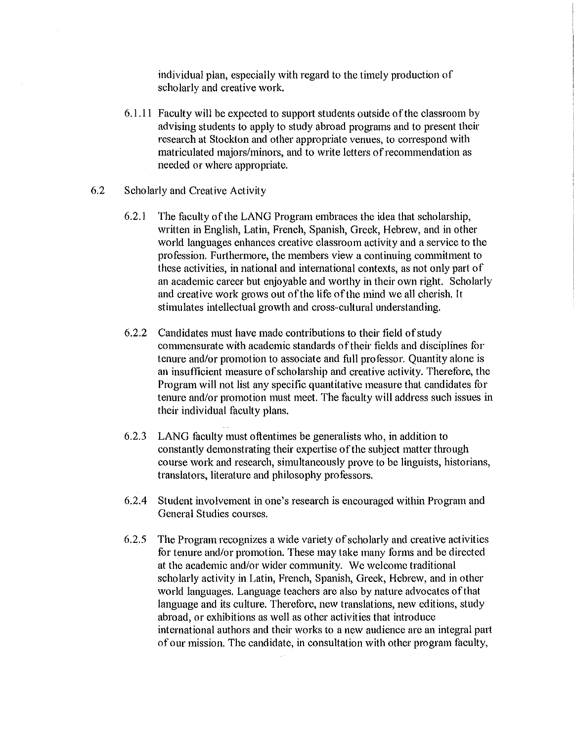individual plan, especially with regard to the timely production of scholarly and creative work.

- 6.1.11 Faculty will be expected to support students outside of the classroom by advising students to apply to study abroad programs and to present their research at Stockton and other appropriate venues, to correspond with matriculated majors/minors, and to write letters of recommendation as needed or where appropriate.
- 6.2 Scholarly and Creative Activity
	- 6.2.1 The faculty of the LANG Program embraces the idea that scholarship, written in English, Latin, French, Spanish, Greek, Hebrew, and in other world languages enhances creative classroom activity and a service to the profession. Furthermore, the members view a continuing commitment to these activities, in national and international contexts, as not only part of an academic career but enjoyable and worthy in their own right. Scholarly and creative work grows out of the life of the mind we all cherish. It stimulates intellectual growth and cross-cultural understanding.
	- 6.2.2 Candidates must have made contributions to their field of study commensurate with academic standards of their fields and disciplines for tenure and/or promotion to associate and full professor. Quantity alone is an insufficient measure of scholarship and creative activity. Therefore, the Program will not list any specific quantitative measure that candidates for tenure and/or promotion must meet. The faculty will address such issues in their individual faculty plans.
	- 6.2.3 LANG faculty must oftentimes be generalists who, in addition to constantly demonstrating their expertise of the subject matter through course work and research, simultaneously prove to be linguists, historians, translators, literature and philosophy professors.
	- 6.2.4 Student involvement in one's research is encouraged within Program and General Studies courses.
	- 6.2.5 The Program recognizes a wide variety of scholarly and creative activities for tenure and/or promotion. These may take many forms and be directed at the academic and/or wider community. We welcome traditional scholarly activity in Latin, French, Spanish, Greek, Hebrew, and in other world languages. Language teachers are also by nature advocates of that language and its culture. Therefore, new translations, new editions, study abroad, or exhibitions as well as other activities that introduce international authors and their works to a new audience are an integral part of our mission. The candidate, in consultation with other program faculty,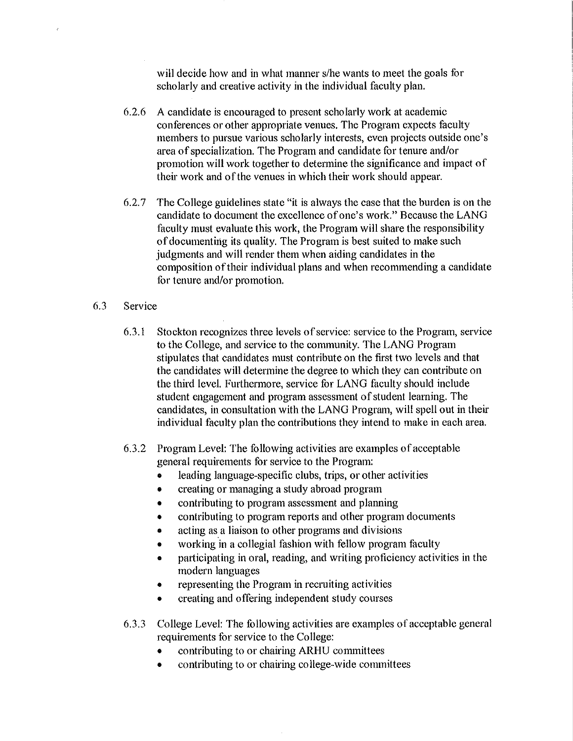will decide how and in what manner s/he wants to meet the goals for scholarly and creative activity in the individual faculty plan.

- 6.2.6 A candidate is encouraged to present scholarly work at academic conferences or other appropriate venues. The Program expects faculty members to pursue various scholarly interests, even projects outside one's area of specialization. The Program and candidate for tenure and/or promotion will work together to determine the significance and impact of their work and of the venues in which their work should appear.
- 6.2. 7 The College guidelines state "it is always the case that the burden is on the candidate to document the excellence of one's work." Because the LANG faculty must evaluate this work, the Program will share the responsibility of documenting its quality. The Program is best suited to make such judgments and will render them when aiding candidates in the composition of their individual plans and when recommending a candidate for tenure and/or promotion.

## 6.3 Service

- 6.3.1 Stockton recognizes three levels of service: service to the Program, service to the College, and service to the community. The LANG Program stipulates that candidates must contribute on the first two levels and that the candidates will determine the degree to which they can contribute on the third level. Furthermore, service for LANG faculty should include student engagement and program assessment of student learning. The candidates, in consultation with the LANG Program, will spell out in their individual faculty plan the contributions they intend to make in each area.
- 6.3.2 Program Level: The following activities are examples of acceptable general requirements for service to the Program:
	- leading language-specific clubs, trips, or other activities
	- creating or managing a study abroad program
	- contributing to program assessment and planning
	- contributing to program reports and other program documents
	- acting as a liaison to other programs and divisions
	- working in a collegial fashion with fellow program faculty
	- participating in oral, reading, and writing proficiency activities in the modern languages
	- representing the Program in recruiting activities
	- creating and offering independent study courses
- 6.3.3 College Level: The following activities are examples of acceptable general requirements for service to the College:
	- contributing to or chairing ARHU committees
	- contributing to or chairing college-wide committees